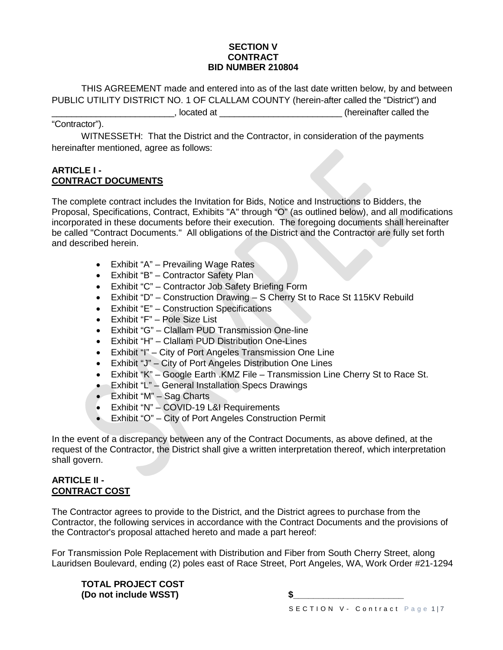#### **SECTION V CONTRACT BID NUMBER 210804**

THIS AGREEMENT made and entered into as of the last date written below, by and between PUBLIC UTILITY DISTRICT NO. 1 OF CLALLAM COUNTY (herein-after called the "District") and \_\_\_\_\_\_\_\_\_\_\_\_\_\_\_\_\_\_\_\_\_\_\_\_\_, located at \_\_\_\_\_\_\_\_\_\_\_\_\_\_\_\_\_\_\_\_\_\_\_\_\_ (hereinafter called the

### "Contractor").

WITNESSETH: That the District and the Contractor, in consideration of the payments hereinafter mentioned, agree as follows:

#### **ARTICLE I - CONTRACT DOCUMENTS**

The complete contract includes the Invitation for Bids, Notice and Instructions to Bidders, the Proposal, Specifications, Contract, Exhibits "A" through "O" (as outlined below), and all modifications incorporated in these documents before their execution. The foregoing documents shall hereinafter be called "Contract Documents." All obligations of the District and the Contractor are fully set forth and described herein.

- Exhibit "A" Prevailing Wage Rates
- Exhibit "B" Contractor Safety Plan
- Exhibit "C" Contractor Job Safety Briefing Form
- Exhibit "D" Construction Drawing S Cherry St to Race St 115KV Rebuild
- Exhibit "E" Construction Specifications
- Exhibit "F" Pole Size List
- Exhibit "G" Clallam PUD Transmission One-line
- Exhibit "H" Clallam PUD Distribution One-Lines
- Exhibit "I" City of Port Angeles Transmission One Line
- Exhibit "J" City of Port Angeles Distribution One Lines
- Exhibit "K" Google Earth .KMZ File Transmission Line Cherry St to Race St.
- Exhibit "L" General Installation Specs Drawings
- Exhibit "M" Sag Charts
- Exhibit "N" COVID-19 L&I Requirements
- Exhibit "O" City of Port Angeles Construction Permit

In the event of a discrepancy between any of the Contract Documents, as above defined, at the request of the Contractor, the District shall give a written interpretation thereof, which interpretation shall govern.

#### **ARTICLE II - CONTRACT COST**

The Contractor agrees to provide to the District, and the District agrees to purchase from the Contractor, the following services in accordance with the Contract Documents and the provisions of the Contractor's proposal attached hereto and made a part hereof:

For Transmission Pole Replacement with Distribution and Fiber from South Cherry Street, along Lauridsen Boulevard, ending (2) poles east of Race Street, Port Angeles, WA, Work Order #21-1294

**TOTAL PROJECT COST (Do not include WSST) \$\_\_\_\_\_\_\_\_\_\_\_\_\_\_\_\_\_\_\_\_\_\_**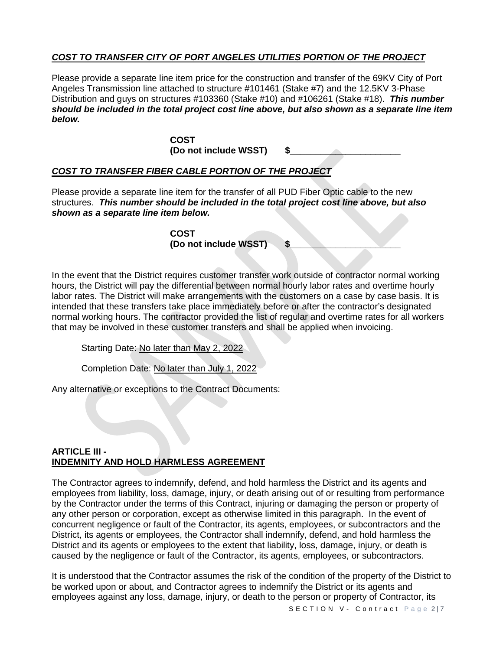# *COST TO TRANSFER CITY OF PORT ANGELES UTILITIES PORTION OF THE PROJECT*

Please provide a separate line item price for the construction and transfer of the 69KV City of Port Angeles Transmission line attached to structure #101461 (Stake #7) and the 12.5KV 3-Phase Distribution and guys on structures #103360 (Stake #10) and #106261 (Stake #18). *This number should be included in the total project cost line above, but also shown as a separate line item below.*

> **COST** (Do not include WSST)

# *COST TO TRANSFER FIBER CABLE PORTION OF THE PROJECT*

Please provide a separate line item for the transfer of all PUD Fiber Optic cable to the new structures. *This number should be included in the total project cost line above, but also shown as a separate line item below.*

> **COST (Do not include WSST) \$\_\_\_\_\_\_\_\_\_\_\_\_\_\_\_\_\_\_\_\_\_\_**

In the event that the District requires customer transfer work outside of contractor normal working hours, the District will pay the differential between normal hourly labor rates and overtime hourly labor rates. The District will make arrangements with the customers on a case by case basis. It is intended that these transfers take place immediately before or after the contractor's designated normal working hours. The contractor provided the list of regular and overtime rates for all workers that may be involved in these customer transfers and shall be applied when invoicing.

Starting Date: No later than May 2, 2022

Completion Date: No later than July 1, 2022

Any alternative or exceptions to the Contract Documents:

### **ARTICLE III - INDEMNITY AND HOLD HARMLESS AGREEMENT**

The Contractor agrees to indemnify, defend, and hold harmless the District and its agents and employees from liability, loss, damage, injury, or death arising out of or resulting from performance by the Contractor under the terms of this Contract, injuring or damaging the person or property of any other person or corporation, except as otherwise limited in this paragraph. In the event of concurrent negligence or fault of the Contractor, its agents, employees, or subcontractors and the District, its agents or employees, the Contractor shall indemnify, defend, and hold harmless the District and its agents or employees to the extent that liability, loss, damage, injury, or death is caused by the negligence or fault of the Contractor, its agents, employees, or subcontractors.

It is understood that the Contractor assumes the risk of the condition of the property of the District to be worked upon or about, and Contractor agrees to indemnify the District or its agents and employees against any loss, damage, injury, or death to the person or property of Contractor, its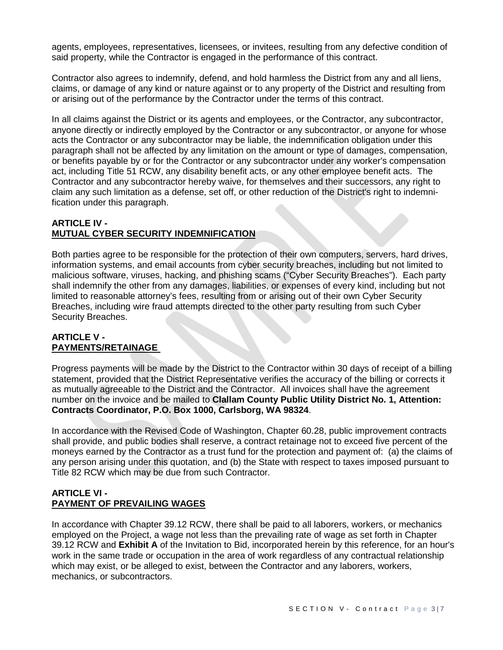agents, employees, representatives, licensees, or invitees, resulting from any defective condition of said property, while the Contractor is engaged in the performance of this contract.

Contractor also agrees to indemnify, defend, and hold harmless the District from any and all liens, claims, or damage of any kind or nature against or to any property of the District and resulting from or arising out of the performance by the Contractor under the terms of this contract.

In all claims against the District or its agents and employees, or the Contractor, any subcontractor, anyone directly or indirectly employed by the Contractor or any subcontractor, or anyone for whose acts the Contractor or any subcontractor may be liable, the indemnification obligation under this paragraph shall not be affected by any limitation on the amount or type of damages, compensation, or benefits payable by or for the Contractor or any subcontractor under any worker's compensation act, including Title 51 RCW, any disability benefit acts, or any other employee benefit acts. The Contractor and any subcontractor hereby waive, for themselves and their successors, any right to claim any such limitation as a defense, set off, or other reduction of the District's right to indemnification under this paragraph.

# **ARTICLE IV - MUTUAL CYBER SECURITY INDEMNIFICATION**

Both parties agree to be responsible for the protection of their own computers, servers, hard drives, information systems, and email accounts from cyber security breaches, including but not limited to malicious software, viruses, hacking, and phishing scams ("Cyber Security Breaches"). Each party shall indemnify the other from any damages, liabilities, or expenses of every kind, including but not limited to reasonable attorney's fees, resulting from or arising out of their own Cyber Security Breaches, including wire fraud attempts directed to the other party resulting from such Cyber Security Breaches.

#### **ARTICLE V - PAYMENTS/RETAINAGE**

Progress payments will be made by the District to the Contractor within 30 days of receipt of a billing statement, provided that the District Representative verifies the accuracy of the billing or corrects it as mutually agreeable to the District and the Contractor. All invoices shall have the agreement number on the invoice and be mailed to **Clallam County Public Utility District No. 1, Attention: Contracts Coordinator, P.O. Box 1000, Carlsborg, WA 98324**.

In accordance with the Revised Code of Washington, Chapter 60.28, public improvement contracts shall provide, and public bodies shall reserve, a contract retainage not to exceed five percent of the moneys earned by the Contractor as a trust fund for the protection and payment of: (a) the claims of any person arising under this quotation, and (b) the State with respect to taxes imposed pursuant to Title 82 RCW which may be due from such Contractor.

### **ARTICLE VI - PAYMENT OF PREVAILING WAGES**

In accordance with Chapter 39.12 RCW, there shall be paid to all laborers, workers, or mechanics employed on the Project, a wage not less than the prevailing rate of wage as set forth in Chapter 39.12 RCW and **Exhibit A** of the Invitation to Bid, incorporated herein by this reference, for an hour's work in the same trade or occupation in the area of work regardless of any contractual relationship which may exist, or be alleged to exist, between the Contractor and any laborers, workers, mechanics, or subcontractors.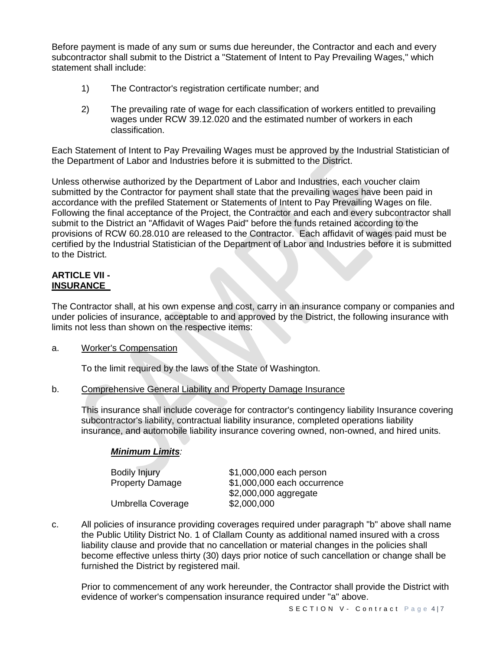Before payment is made of any sum or sums due hereunder, the Contractor and each and every subcontractor shall submit to the District a "Statement of Intent to Pay Prevailing Wages," which statement shall include:

- 1) The Contractor's registration certificate number; and
- 2) The prevailing rate of wage for each classification of workers entitled to prevailing wages under RCW 39.12.020 and the estimated number of workers in each classification.

Each Statement of Intent to Pay Prevailing Wages must be approved by the Industrial Statistician of the Department of Labor and Industries before it is submitted to the District.

Unless otherwise authorized by the Department of Labor and Industries, each voucher claim submitted by the Contractor for payment shall state that the prevailing wages have been paid in accordance with the prefiled Statement or Statements of Intent to Pay Prevailing Wages on file. Following the final acceptance of the Project, the Contractor and each and every subcontractor shall submit to the District an "Affidavit of Wages Paid" before the funds retained according to the provisions of RCW 60.28.010 are released to the Contractor. Each affidavit of wages paid must be certified by the Industrial Statistician of the Department of Labor and Industries before it is submitted to the District.

#### **ARTICLE VII - INSURANCE**

The Contractor shall, at his own expense and cost, carry in an insurance company or companies and under policies of insurance, acceptable to and approved by the District, the following insurance with limits not less than shown on the respective items:

### a. Worker's Compensation

To the limit required by the laws of the State of Washington.

b. Comprehensive General Liability and Property Damage Insurance

This insurance shall include coverage for contractor's contingency liability Insurance covering subcontractor's liability, contractual liability insurance, completed operations liability insurance, and automobile liability insurance covering owned, non-owned, and hired units.

### *Minimum Limits:*

| <b>Bodily Injury</b>   | \$1,000,000 each person     |
|------------------------|-----------------------------|
| <b>Property Damage</b> | \$1,000,000 each occurrence |
|                        | \$2,000,000 aggregate       |
| Umbrella Coverage      | \$2,000,000                 |

c. All policies of insurance providing coverages required under paragraph "b" above shall name the Public Utility District No. 1 of Clallam County as additional named insured with a cross liability clause and provide that no cancellation or material changes in the policies shall become effective unless thirty (30) days prior notice of such cancellation or change shall be furnished the District by registered mail.

Prior to commencement of any work hereunder, the Contractor shall provide the District with evidence of worker's compensation insurance required under "a" above.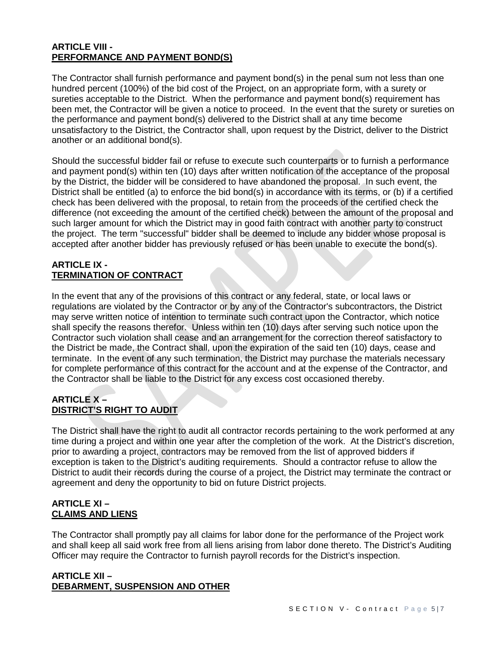### **ARTICLE VIII - PERFORMANCE AND PAYMENT BOND(S)**

The Contractor shall furnish performance and payment bond(s) in the penal sum not less than one hundred percent (100%) of the bid cost of the Project, on an appropriate form, with a surety or sureties acceptable to the District. When the performance and payment bond(s) requirement has been met, the Contractor will be given a notice to proceed. In the event that the surety or sureties on the performance and payment bond(s) delivered to the District shall at any time become unsatisfactory to the District, the Contractor shall, upon request by the District, deliver to the District another or an additional bond(s).

Should the successful bidder fail or refuse to execute such counterparts or to furnish a performance and payment pond(s) within ten (10) days after written notification of the acceptance of the proposal by the District, the bidder will be considered to have abandoned the proposal. In such event, the District shall be entitled (a) to enforce the bid bond(s) in accordance with its terms, or (b) if a certified check has been delivered with the proposal, to retain from the proceeds of the certified check the difference (not exceeding the amount of the certified check) between the amount of the proposal and such larger amount for which the District may in good faith contract with another party to construct the project. The term "successful" bidder shall be deemed to include any bidder whose proposal is accepted after another bidder has previously refused or has been unable to execute the bond(s).

### **ARTICLE IX - TERMINATION OF CONTRACT**

In the event that any of the provisions of this contract or any federal, state, or local laws or regulations are violated by the Contractor or by any of the Contractor's subcontractors, the District may serve written notice of intention to terminate such contract upon the Contractor, which notice shall specify the reasons therefor. Unless within ten (10) days after serving such notice upon the Contractor such violation shall cease and an arrangement for the correction thereof satisfactory to the District be made, the Contract shall, upon the expiration of the said ten (10) days, cease and terminate. In the event of any such termination, the District may purchase the materials necessary for complete performance of this contract for the account and at the expense of the Contractor, and the Contractor shall be liable to the District for any excess cost occasioned thereby.

# **ARTICLE X – DISTRICT'S RIGHT TO AUDIT**

The District shall have the right to audit all contractor records pertaining to the work performed at any time during a project and within one year after the completion of the work. At the District's discretion, prior to awarding a project, contractors may be removed from the list of approved bidders if exception is taken to the District's auditing requirements. Should a contractor refuse to allow the District to audit their records during the course of a project, the District may terminate the contract or agreement and deny the opportunity to bid on future District projects.

# **ARTICLE XI – CLAIMS AND LIENS**

The Contractor shall promptly pay all claims for labor done for the performance of the Project work and shall keep all said work free from all liens arising from labor done thereto. The District's Auditing Officer may require the Contractor to furnish payroll records for the District's inspection.

### **ARTICLE XII – DEBARMENT, SUSPENSION AND OTHER**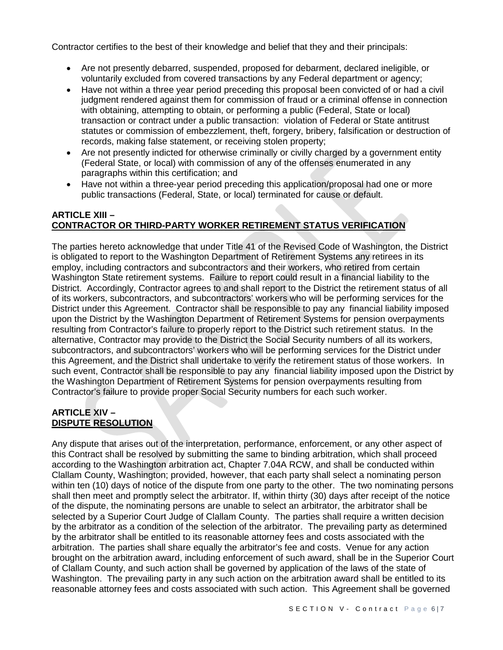Contractor certifies to the best of their knowledge and belief that they and their principals:

- Are not presently debarred, suspended, proposed for debarment, declared ineligible, or voluntarily excluded from covered transactions by any Federal department or agency;
- Have not within a three year period preceding this proposal been convicted of or had a civil judgment rendered against them for commission of fraud or a criminal offense in connection with obtaining, attempting to obtain, or performing a public (Federal, State or local) transaction or contract under a public transaction: violation of Federal or State antitrust statutes or commission of embezzlement, theft, forgery, bribery, falsification or destruction of records, making false statement, or receiving stolen property;
- Are not presently indicted for otherwise criminally or civilly charged by a government entity (Federal State, or local) with commission of any of the offenses enumerated in any paragraphs within this certification; and
- Have not within a three-year period preceding this application/proposal had one or more public transactions (Federal, State, or local) terminated for cause or default.

### **ARTICLE XIII – CONTRACTOR OR THIRD-PARTY WORKER RETIREMENT STATUS VERIFICATION**

The parties hereto acknowledge that under Title 41 of the Revised Code of Washington, the District is obligated to report to the Washington Department of Retirement Systems any retirees in its employ, including contractors and subcontractors and their workers, who retired from certain Washington State retirement systems. Failure to report could result in a financial liability to the District. Accordingly, Contractor agrees to and shall report to the District the retirement status of all of its workers, subcontractors, and subcontractors' workers who will be performing services for the District under this Agreement. Contractor shall be responsible to pay any financial liability imposed upon the District by the Washington Department of Retirement Systems for pension overpayments resulting from Contractor's failure to properly report to the District such retirement status. In the alternative, Contractor may provide to the District the Social Security numbers of all its workers, subcontractors, and subcontractors' workers who will be performing services for the District under this Agreement, and the District shall undertake to verify the retirement status of those workers. In such event, Contractor shall be responsible to pay any financial liability imposed upon the District by the Washington Department of Retirement Systems for pension overpayments resulting from Contractor's failure to provide proper Social Security numbers for each such worker.

# **ARTICLE XIV – DISPUTE RESOLUTION**

Any dispute that arises out of the interpretation, performance, enforcement, or any other aspect of this Contract shall be resolved by submitting the same to binding arbitration, which shall proceed according to the Washington arbitration act, Chapter 7.04A RCW, and shall be conducted within Clallam County, Washington; provided, however, that each party shall select a nominating person within ten (10) days of notice of the dispute from one party to the other. The two nominating persons shall then meet and promptly select the arbitrator. If, within thirty (30) days after receipt of the notice of the dispute, the nominating persons are unable to select an arbitrator, the arbitrator shall be selected by a Superior Court Judge of Clallam County. The parties shall require a written decision by the arbitrator as a condition of the selection of the arbitrator. The prevailing party as determined by the arbitrator shall be entitled to its reasonable attorney fees and costs associated with the arbitration. The parties shall share equally the arbitrator's fee and costs. Venue for any action brought on the arbitration award, including enforcement of such award, shall be in the Superior Court of Clallam County, and such action shall be governed by application of the laws of the state of Washington. The prevailing party in any such action on the arbitration award shall be entitled to its reasonable attorney fees and costs associated with such action. This Agreement shall be governed